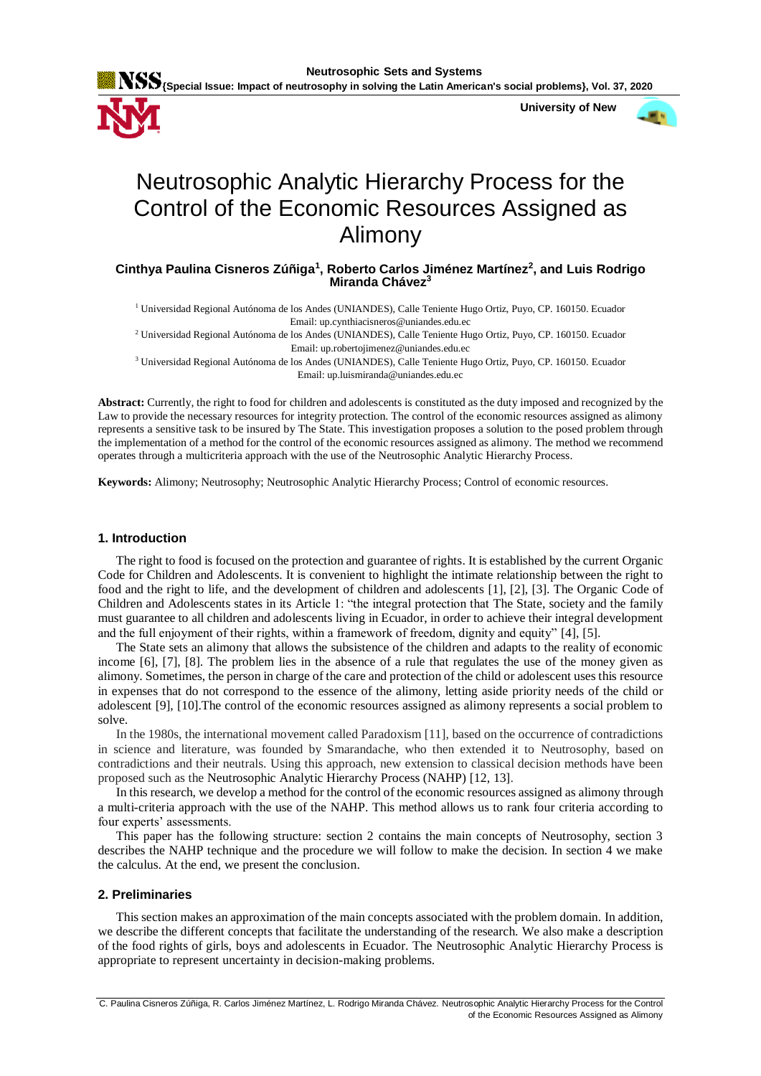

 **University of New** 



# Neutrosophic Analytic Hierarchy Process for the Control of the Economic Resources Assigned as Alimony

## **Cinthya Paulina Cisneros Zúñiga<sup>1</sup> , Roberto Carlos Jiménez Martínez<sup>2</sup> , and Luis Rodrigo Miranda Chávez<sup>3</sup>**

<sup>1</sup> Universidad Regional Autónoma de los Andes (UNIANDES), Calle Teniente Hugo Ortiz, Puyo, CP. 160150. Ecuador Email: up.cynthiacisneros@uniandes.edu.ec

<sup>2</sup> Universidad Regional Autónoma de los Andes (UNIANDES), Calle Teniente Hugo Ortiz, Puyo, CP. 160150. Ecuador Email: up.robertojimenez@uniandes.edu.ec

<sup>3</sup> Universidad Regional Autónoma de los Andes (UNIANDES), Calle Teniente Hugo Ortiz, Puyo, CP. 160150. Ecuador Email: up.luismiranda@uniandes.edu.ec

**Abstract:** Currently, the right to food for children and adolescents is constituted as the duty imposed and recognized by the Law to provide the necessary resources for integrity protection. The control of the economic resources assigned as alimony represents a sensitive task to be insured by The State. This investigation proposes a solution to the posed problem through the implementation of a method for the control of the economic resources assigned as alimony. The method we recommend operates through a multicriteria approach with the use of the Neutrosophic Analytic Hierarchy Process.

**Keywords:** Alimony; Neutrosophy; Neutrosophic Analytic Hierarchy Process; Control of economic resources.

## **1. Introduction**

The right to food is focused on the protection and guarantee of rights. It is established by the current Organic Code for Children and Adolescents. It is convenient to highlight the intimate relationship between the right to food and the right to life, and the development of children and adolescents [\[1\]](#page-6-0), [\[2\]](#page-6-1), [\[3\]](#page-6-2). The Organic Code of Children and Adolescents states in its Article 1: "the integral protection that The State, society and the family must guarantee to all children and adolescents living in Ecuador, in order to achieve their integral development and the full enjoyment of their rights, within a framework of freedom, dignity and equity" [\[4\]](#page-6-3), [\[5\]](#page-6-4).

The State sets an alimony that allows the subsistence of the children and adapts to the reality of economic income [\[6\]](#page-6-5), [\[7\]](#page-6-6), [\[8\]](#page-6-7). The problem lies in the absence of a rule that regulates the use of the money given as alimony. Sometimes, the person in charge of the care and protection of the child or adolescent uses this resource in expenses that do not correspond to the essence of the alimony, letting aside priority needs of the child or adolescent [\[9\]](#page-6-8), [\[10\]](#page-6-9).The control of the economic resources assigned as alimony represents a social problem to solve.

In the 1980s, the international movement called Paradoxism [\[11\]](#page-6-10), based on the occurrence of contradictions in science and literature, was founded by Smarandache, who then extended it to Neutrosophy, based on contradictions and their neutrals. Using this approach, new extension to classical decision methods have been proposed such as the Neutrosophic Analytic Hierarchy Process (NAHP) [\[12,](#page-6-11) [13\]](#page-6-12).

In this research, we develop a method for the control of the economic resources assigned as alimony through a multi-criteria approach with the use of the NAHP. This method allows us to rank four criteria according to four experts' assessments.

This paper has the following structure: section 2 contains the main concepts of Neutrosophy, section 3 describes the NAHP technique and the procedure we will follow to make the decision. In section 4 we make the calculus. At the end, we present the conclusion.

## **2. Preliminaries**

This section makes an approximation of the main concepts associated with the problem domain. In addition, we describe the different concepts that facilitate the understanding of the research. We also make a description of the food rights of girls, boys and adolescents in Ecuador. The Neutrosophic Analytic Hierarchy Process is appropriate to represent uncertainty in decision-making problems.

C. Paulina Cisneros Zúñiga, R. Carlos Jiménez Martínez, L. Rodrigo Miranda Chávez. Neutrosophic Analytic Hierarchy Process for the Control of the Economic Resources Assigned as Alimony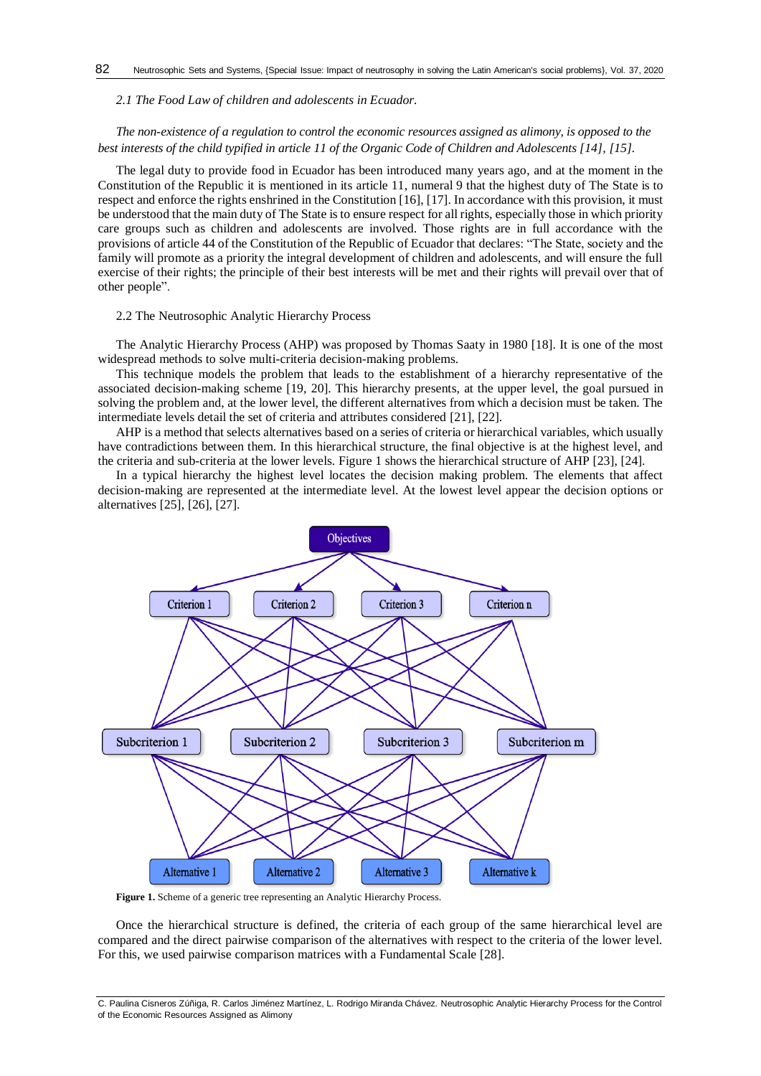*2.1 The Food Law of children and adolescents in Ecuador.*

# *The non-existence of a regulation to control the economic resources assigned as alimony, is opposed to the best interests of the child typified in article 11 of the Organic Code of Children and Adolescents [\[14\]](#page-7-0), [\[15\]](#page-7-1).*

The legal duty to provide food in Ecuador has been introduced many years ago, and at the moment in the Constitution of the Republic it is mentioned in its article 11, numeral 9 that the highest duty of The State is to respect and enforce the rights enshrined in the Constitution [\[16\]](#page-7-2), [\[17\]](#page-7-3). In accordance with this provision, it must be understood that the main duty of The State is to ensure respect for all rights, especially those in which priority care groups such as children and adolescents are involved. Those rights are in full accordance with the provisions of article 44 of the Constitution of the Republic of Ecuador that declares: "The State, society and the family will promote as a priority the integral development of children and adolescents, and will ensure the full exercise of their rights; the principle of their best interests will be met and their rights will prevail over that of other people".

## 2.2 The Neutrosophic Analytic Hierarchy Process

The Analytic Hierarchy Process (AHP) was proposed by Thomas Saaty in 1980 [\[18\]](#page-7-4). It is one of the most widespread methods to solve multi-criteria decision-making problems.

This technique models the problem that leads to the establishment of a hierarchy representative of the associated decision-making scheme [\[19,](#page-7-5) [20\]](#page-7-6). This hierarchy presents, at the upper level, the goal pursued in solving the problem and, at the lower level, the different alternatives from which a decision must be taken. The intermediate levels detail the set of criteria and attributes considered [\[21\]](#page-7-7), [\[22\]](#page-7-8).

AHP is a method that selects alternatives based on a series of criteria or hierarchical variables, which usually have contradictions between them. In this hierarchical structure, the final objective is at the highest level, and the criteria and sub-criteria at the lower levels. Figure 1 shows the hierarchical structure of AHP [\[23\]](#page-7-9), [\[24\]](#page-7-10).

In a typical hierarchy the highest level locates the decision making problem. The elements that affect decision-making are represented at the intermediate level. At the lowest level appear the decision options or alternatives [\[25\]](#page-7-11), [\[26\]](#page-7-12), [\[27\]](#page-7-13).



Figure 1. Scheme of a generic tree representing an Analytic Hierarchy Process.

Once the hierarchical structure is defined, the criteria of each group of the same hierarchical level are compared and the direct pairwise comparison of the alternatives with respect to the criteria of the lower level. For this, we used pairwise comparison matrices with a Fundamental Scale [\[28\]](#page-7-14).

C. Paulina Cisneros Zúñiga, R. Carlos Jiménez Martínez, L. Rodrigo Miranda Chávez. Neutrosophic Analytic Hierarchy Process for the Control of the Economic Resources Assigned as Alimony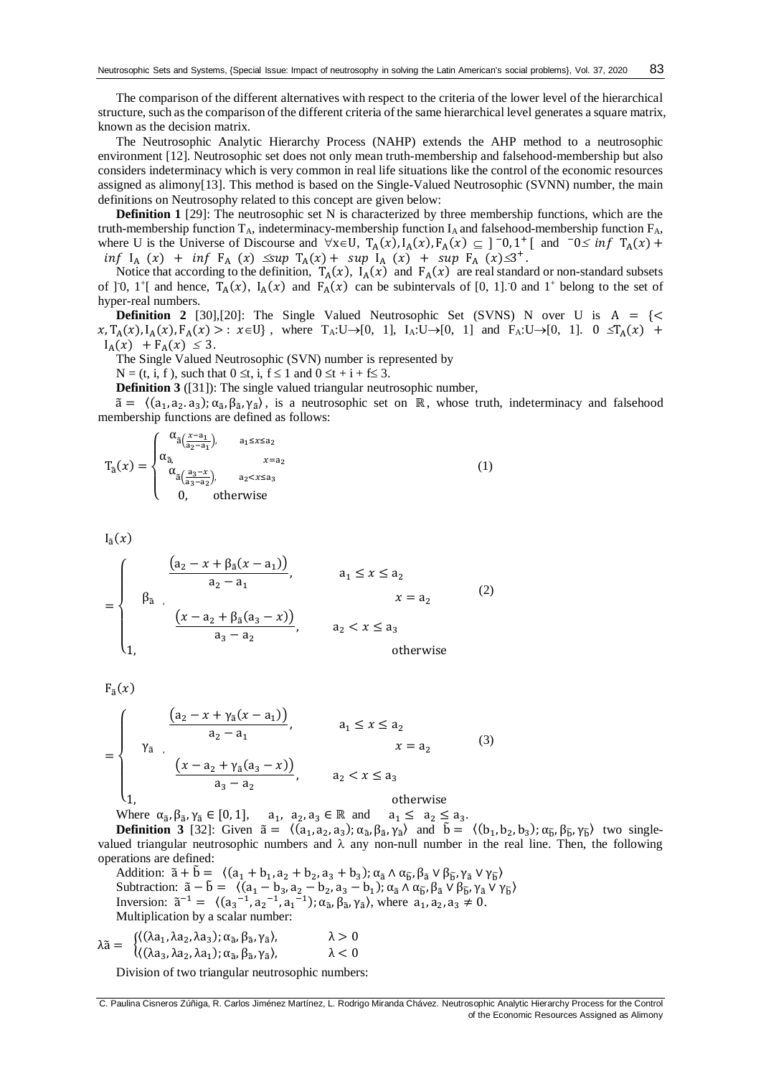The comparison of the different alternatives with respect to the criteria of the lower level of the hierarchical structure, such as the comparison of the different criteria of the same hierarchical level generates a square matrix, known as the decision matrix.

The Neutrosophic Analytic Hierarchy Process (NAHP) extends the AHP method to a neutrosophic environment [\[12\]](#page-6-11). Neutrosophic set does not only mean truth-membership and falsehood-membership but also considers indeterminacy which is very common in real life situations like the control of the economic resources assigned as alimony[\[13\]](#page-6-12). This method is based on the Single-Valued Neutrosophic (SVNN) number, the main definitions on Neutrosophy related to this concept are given below:

**Definition 1** [\[29\]](#page-7-15): The neutrosophic set N is characterized by three membership functions, which are the truth-membership function  $T_A$ , indeterminacy-membership function  $I_A$  and falsehood-membership function  $F_A$ , where U is the Universe of Discourse and  $\forall x \in U$ ,  $T_A(x)$ ,  $I_A(x)$ ,  $F_A(x) \subseteq ]\neg 0,1^+[$  and  $\neg 0 \le \inf T_A(x) +$  $inf I_A(x) + inf F_A(x) \leq sup T_A(x) + sup I_A(x) + sup I_{A}(x)$ 

Notice that according to the definition,  $T_A(x)$ ,  $I_A(x)$  and  $F_A(x)$  are real standard or non-standard subsets of [0, 1+] and hence,  $T_A(x)$ ,  $I_A(x)$  and  $F_A(x)$  can be subintervals of [0, 1]. 0 and 1<sup>+</sup> belong to the set of hyper-real numbers.

**Definition 2** [\[30\]](#page-7-16),[20]: The Single Valued Neutrosophic Set (SVNS) N over U is  $A = \{ \leq \}$  $x, T_A(x), I_A(x), F_A(x) > : x \in U$ , where  $T_A: U \to [0, 1]$ ,  $I_A: U \to [0, 1]$  and  $F_A: U \to [0, 1]$ .  $0 \le T_A(x) +$  $I_A(x) + F_A(x) \leq 3.$ 

The Single Valued Neutrosophic (SVN) number is represented by

 $N = (t, i, f)$ , such that  $0 \le t$ , i,  $f \le 1$  and  $0 \le t + i + f \le 3$ .

**Definition 3** ([\[31\]](#page-7-17)): The single valued triangular neutrosophic number,

 $\tilde{a} = \langle (a_1, a_2, a_3); \alpha_{\tilde{a}}, \beta_{\tilde{a}}, \gamma_{\tilde{a}} \rangle$ , is a neutrosophic set on ℝ, whose truth, indeterminacy and falsehood membership functions are defined as follows:

$$
T_{\tilde{a}}(x) = \begin{cases} \alpha_{\tilde{a}(\frac{x-a_1}{a_2-a_1}),} & a_1 \leq x \leq a_2\\ \alpha_{\tilde{a},} & x = a_2\\ \alpha_{\tilde{a}(\frac{a_3-x}{a_3-a_2}),} & a_2 < x \leq a_3\\ 0, & \text{otherwise} \end{cases} \tag{1}
$$

 $I_{\tilde{a}}(x)$ 

$$
= \begin{cases} \n\frac{(a_2 - x + \beta_3(x - a_1))}{a_2 - a_1}, & a_1 \leq x \leq a_2 \\
\beta_3, & x = a_2\n\end{cases}
$$
\n(2)\n
$$
\frac{(x - a_2 + \beta_3(a_3 - x))}{a_3 - a_2}, \quad a_2 < x \leq a_3
$$
\notherwise

 $F_{\tilde{a}}(x)$ 

$$
= \begin{cases} \n\frac{(a_2 - x + \gamma_{\tilde{a}}(x - a_1))}{a_2 - a_1}, & a_1 \le x \le a_2 \\
\gamma_{\tilde{a}} & x = a_2\n\end{cases}
$$
\n(3)\n
$$
\frac{(x - a_2 + \gamma_{\tilde{a}}(a_3 - x))}{a_3 - a_2}, \quad a_2 < x \le a_3
$$
\notherwise

Where  $\alpha_{\tilde{a}}, \beta_{\tilde{a}}, \gamma_{\tilde{a}} \in [0, 1], \quad a_1, a_2, a_3 \in \mathbb{R}$  and  $a_1 \leq a_2 \leq a_3$ . **Definition 3** [\[32\]](#page-7-18): Given  $\tilde{a} = \langle (a_1, a_2, a_3); \alpha_{\tilde{a}}, \beta_{\tilde{a}}, \gamma_{\tilde{a}} \rangle$  and  $\tilde{b} = \langle (b_1, b_2, b_3); \alpha_{\tilde{b}}, \beta_{\tilde{b}}, \gamma_{\tilde{b}} \rangle$  two singlevalued triangular neutrosophic numbers and  $\lambda$  any non-null number in the real line. Then, the following operations are defined:

Addition:  $\tilde{a} + \tilde{b} = \langle (a_1 + b_1, a_2 + b_2, a_3 + b_3); \alpha_{\tilde{a}} \wedge \alpha_{\tilde{b}}, \beta_{\tilde{a}} \vee \beta_{\tilde{b}}, \gamma_{\tilde{a}} \vee \gamma_{\tilde{b}} \rangle$ Subtraction:  $\tilde{a} - \tilde{b} = \langle (a_1 - b_3, a_2 - b_2, a_3 - b_1), \alpha_{\tilde{a}} \wedge \alpha_{\tilde{b}}, \beta_{\tilde{a}} \vee \beta_{\tilde{b}}, \gamma_{\tilde{a}} \vee \gamma_{\tilde{b}} \rangle$ Inversion:  $\tilde{a}^{-1} = \langle (a_3^{-1}, a_2^{-1}, a_1^{-1}); \alpha_{\tilde{a}}, \beta_{\tilde{a}}, \gamma_{\tilde{a}} \rangle$ , where  $a_1, a_2, a_3 \neq 0$ . Multiplication by a scalar number:

$$
\lambda \tilde{a} = \begin{cases}\n\langle (\lambda a_1, \lambda a_2, \lambda a_3); \alpha_{\tilde{a}}, \beta_{\tilde{a}}, \gamma_{\tilde{a}} \rangle, & \lambda > 0 \\
\langle (\lambda a_3, \lambda a_2, \lambda a_1); \alpha_{\tilde{a}}, \beta_{\tilde{a}}, \gamma_{\tilde{a}} \rangle, & \lambda < 0\n\end{cases}
$$

Division of two triangular neutrosophic numbers:

C. Paulina Cisneros Zúñiga, R. Carlos Jiménez Martínez, L. Rodrigo Miranda Chávez. Neutrosophic Analytic Hierarchy Process for the Control of the Economic Resources Assigned as Alimony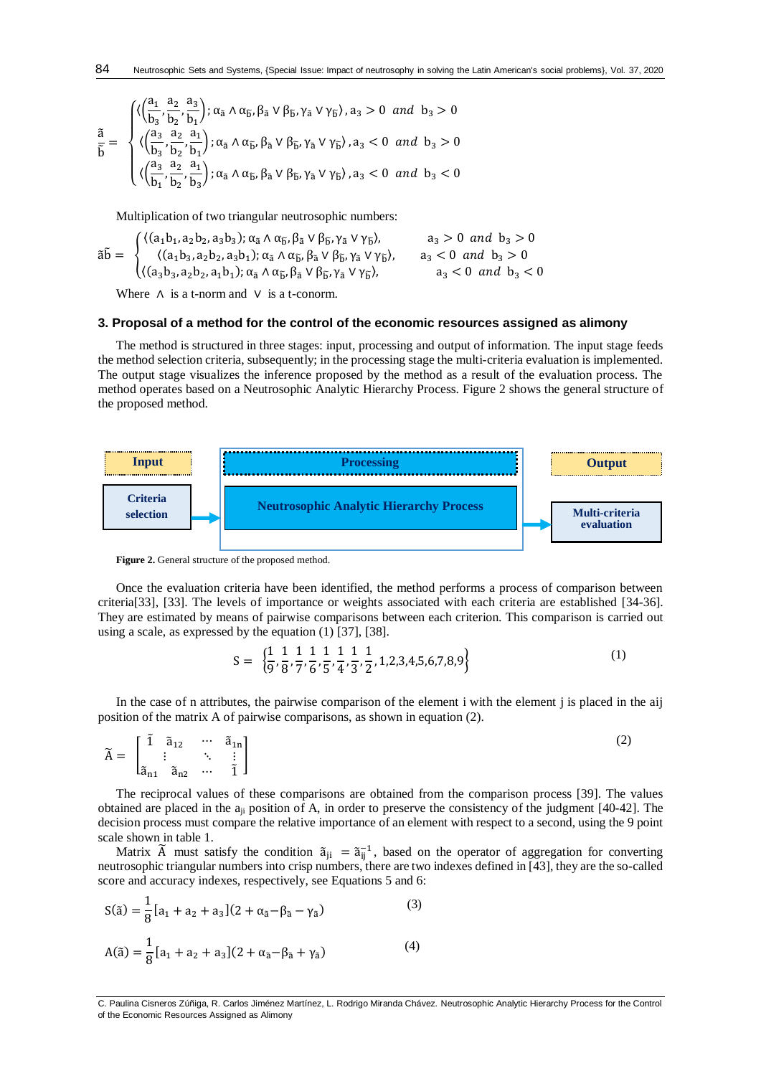$$
\frac{\tilde{a}}{\tilde{b}}=\sqrt{\langle\!\!\langle\frac{a_1}{b_3},\frac{a_2}{b_2},\frac{a_3}{b_1}\!\!\rangle;\alpha_{\tilde{a}}\wedge\alpha_{\tilde{b}},\beta_{\tilde{a}}\vee\beta_{\tilde{b}},\gamma_{\tilde{a}}\vee\gamma_{\tilde{b}}\rangle,a_3>0\ \ \text{and}\ \ b_3>0}{\langle\!\!\langle\frac{a_3}{b_3},\frac{a_2}{b_2},\frac{a_1}{b_1}\!\!\rangle;\alpha_{\tilde{a}}\wedge\alpha_{\tilde{b}},\beta_{\tilde{a}}\vee\beta_{\tilde{b}},\gamma_{\tilde{a}}\vee\gamma_{\tilde{b}}\rangle,a_3<0\ \ \text{and}\ \ b_3>0}{\langle\!\!\langle\frac{a_3}{b_1},\frac{a_2}{b_2},\frac{a_1}{b_3}\!\!\rangle;\alpha_{\tilde{a}}\wedge\alpha_{\tilde{b}},\beta_{\tilde{a}}\vee\beta_{\tilde{b}},\gamma_{\tilde{a}}\vee\beta_{\tilde{b}}\rangle,a_3<0\ \ \text{and}\ \ b_3<0}
$$

Multiplication of two triangular neutrosophic numbers:

$$
\tilde{a}\tilde{b}=\begin{cases} \langle (a_1b_1,a_2b_2,a_3b_3); \alpha_{\tilde{a}}\wedge\alpha_{\tilde{b}},\beta_{\tilde{a}}\vee\beta_{\tilde{b}},\gamma_{\tilde{a}}\vee\gamma_{\tilde{b}}\rangle, & a_3>0 \ and \ b_3>0 \\ \langle (a_1b_3,a_2b_2,a_3b_1); \alpha_{\tilde{a}}\wedge\alpha_{\tilde{b}}, \beta_{\tilde{a}}\vee\beta_{\tilde{b}}, \gamma_{\tilde{a}}\vee\gamma_{\tilde{b}}\rangle, & a_3<0 \ and \ b_3>0 \\ \langle (a_3b_3,a_2b_2,a_1b_1); \alpha_{\tilde{a}}\wedge\alpha_{\tilde{b}}, \beta_{\tilde{a}}\vee\beta_{\tilde{b}}, \gamma_{\tilde{a}}\vee\gamma_{\tilde{b}}\rangle, & a_3<0 \ and \ b_3<0 \end{cases}
$$

Where  $\Lambda$  is a t-norm and  $\vee$  is a t-conorm.

#### **3. Proposal of a method for the control of the economic resources assigned as alimony**

The method is structured in three stages: input, processing and output of information. The input stage feeds the method selection criteria, subsequently; in the processing stage the multi-criteria evaluation is implemented. The output stage visualizes the inference proposed by the method as a result of the evaluation process. The method operates based on a Neutrosophic Analytic Hierarchy Process. Figure 2 shows the general structure of the proposed method.



Figure 2. General structure of the proposed method.

Once the evaluation criteria have been identified, the method performs a process of comparison between criteria[\[33\]](#page-7-19), [\[33\]](#page-7-19). The levels of importance or weights associated with each criteria are established [\[34-36\]](#page-7-20). They are estimated by means of pairwise comparisons between each criterion. This comparison is carried out using a scale, as expressed by the equation (1) [\[37\]](#page-7-21), [\[38\]](#page-7-22).

$$
S = \left\{ \frac{1}{9}, \frac{1}{8}, \frac{1}{7}, \frac{1}{6}, \frac{1}{5}, \frac{1}{4}, \frac{1}{3}, \frac{1}{2}, 1, 2, 3, 4, 5, 6, 7, 8, 9 \right\}
$$
(1)

In the case of n attributes, the pairwise comparison of the element i with the element j is placed in the aij position of the matrix A of pairwise comparisons, as shown in equation (2).

$$
\widetilde{A} = \begin{bmatrix} \widetilde{1} & \widetilde{a}_{12} & \cdots & \widetilde{a}_{1n} \\ \vdots & \ddots & \vdots \\ \widetilde{a}_{n1} & \widetilde{a}_{n2} & \cdots & \widetilde{1} \end{bmatrix}
$$
\n(2)

The reciprocal values of these comparisons are obtained from the comparison process [\[39\]](#page-7-23). The values obtained are placed in the aji position of A, in order to preserve the consistency of the judgment [\[40-42\]](#page-7-24). The decision process must compare the relative importance of an element with respect to a second, using the 9 point scale shown in table 1.

Matrix  $\tilde{A}$  must satisfy the condition  $\tilde{a}_{ji} = \tilde{a}_{ij}^{-1}$ , based on the operator of aggregation for converting neutrosophic triangular numbers into crisp numbers, there are two indexes defined in [\[43\]](#page-8-0), they are the so-called score and accuracy indexes, respectively, see Equations 5 and 6:

$$
S(\tilde{a}) = \frac{1}{8} [a_1 + a_2 + a_3](2 + \alpha_{\tilde{a}} - \beta_{\tilde{a}} - \gamma_{\tilde{a}})
$$
(3)  

$$
A(\tilde{a}) = \frac{1}{8} [a_1 + a_2 + a_3](2 + \alpha_{\tilde{a}} - \beta_{\tilde{a}} + \gamma_{\tilde{a}})
$$
(4)

C. Paulina Cisneros Zúñiga, R. Carlos Jiménez Martínez, L. Rodrigo Miranda Chávez. Neutrosophic Analytic Hierarchy Process for the Control of the Economic Resources Assigned as Alimony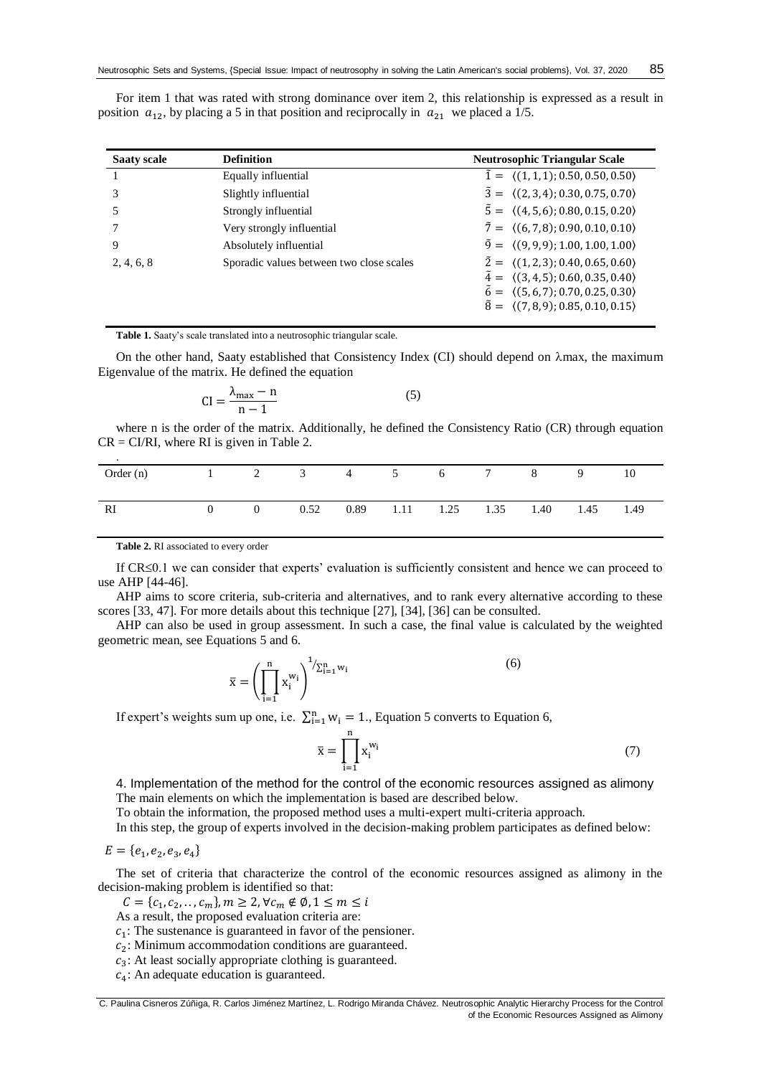For item 1 that was rated with strong dominance over item 2, this relationship is expressed as a result in position  $a_{12}$ , by placing a 5 in that position and reciprocally in  $a_{21}$  we placed a 1/5.

| <b>Saaty scale</b> | <b>Definition</b>                        | <b>Neutrosophic Triangular Scale</b>                      |
|--------------------|------------------------------------------|-----------------------------------------------------------|
|                    | Equally influential                      | $\tilde{1} = \langle (1,1,1); 0.50, 0.50, 0.50 \rangle$   |
|                    | Slightly influential                     | $\tilde{3} = \langle (2,3,4); 0.30, 0.75, 0.70 \rangle$   |
|                    | Strongly influential                     | $\tilde{5} = \langle (4, 5, 6); 0.80, 0.15, 0.20 \rangle$ |
|                    | Very strongly influential                | $\tilde{7} = \langle (6, 7, 8), 0.90, 0.10, 0.10 \rangle$ |
| 9                  | Absolutely influential                   | $\tilde{9} = \langle (9, 9, 9); 1.00, 1.00, 1.00 \rangle$ |
| 2, 4, 6, 8         | Sporadic values between two close scales | $\tilde{2} = \langle (1, 2, 3); 0.40, 0.65, 0.60 \rangle$ |
|                    |                                          | $\tilde{4} = \langle (3,4,5); 0.60, 0.35, 0.40 \rangle$   |
|                    |                                          | $\tilde{6} = \langle (5, 6, 7); 0.70, 0.25, 0.30 \rangle$ |
|                    |                                          | $\tilde{8} = \langle (7,8,9); 0.85, 0.10, 0.15 \rangle$   |

**Table 1.** Saaty's scale translated into a neutrosophic triangular scale.

On the other hand, Saaty established that Consistency Index (CI) should depend on  $\lambda$ max, the maximum Eigenvalue of the matrix. He defined the equation

$$
CI = \frac{\lambda_{\text{max}} - n}{n - 1} \tag{5}
$$

where n is the order of the matrix. Additionally, he defined the Consistency Ratio (CR) through equation  $CR = CI/RI$ , where RI is given in Table 2.

| $\cdot$                               |  |      |  |                          |   |             |      |
|---------------------------------------|--|------|--|--------------------------|---|-------------|------|
| Order (n) $1 \t2 \t3 \t4 \t5 \t6 \t7$ |  |      |  |                          | 8 | $\mathbf Q$ | 10   |
|                                       |  |      |  |                          |   |             |      |
|                                       |  |      |  |                          |   |             |      |
| RI                                    |  | 0.52 |  | 0.89 1.11 1.25 1.35 1.40 |   | 1.45        | 1.49 |
|                                       |  |      |  |                          |   |             |      |

**Table 2.** RI associated to every order

If CR≤0.1 we can consider that experts' evaluation is sufficiently consistent and hence we can proceed to use AHP [\[44-46\]](#page-8-1).

AHP aims to score criteria, sub-criteria and alternatives, and to rank every alternative according to these scores [\[33,](#page-7-19) [47\]](#page-8-2). For more details about this technique [\[27\]](#page-7-13), [\[34\]](#page-7-20), [\[36\]](#page-7-25) can be consulted.

AHP can also be used in group assessment. In such a case, the final value is calculated by the weighted geometric mean, see Equations 5 and 6.

$$
\overline{x} = \left(\prod_{i=1}^{n} x_i^{w_i}\right)^{1/\sum_{i=1}^{n} w_i}
$$
 (6)

If expert's weights sum up one, i.e.  $\sum_{i=1}^{n} w_i = 1$ ., Equation 5 converts to Equation 6,

$$
\overline{\mathbf{x}} = \prod_{i=1}^{n} \mathbf{x}_i^{w_i} \tag{7}
$$

4. Implementation of the method for the control of the economic resources assigned as alimony The main elements on which the implementation is based are described below.

To obtain the information, the proposed method uses a multi-expert multi-criteria approach.

In this step, the group of experts involved in the decision-making problem participates as defined below:

 $E = \{e_1, e_2, e_3, e_4\}$ 

The set of criteria that characterize the control of the economic resources assigned as alimony in the decision-making problem is identified so that:

 $C = \{c_1, c_2, \ldots, c_m\}, m \geq 2, \forall c_m \notin \emptyset, 1 \leq m \leq i$ 

As a result, the proposed evaluation criteria are:

 $c_1$ : The sustenance is guaranteed in favor of the pensioner.

 $c_2$ : Minimum accommodation conditions are guaranteed.

 $c_3$ : At least socially appropriate clothing is guaranteed.

 $c_4$ : An adequate education is guaranteed.

C. Paulina Cisneros Zúñiga, R. Carlos Jiménez Martínez, L. Rodrigo Miranda Chávez. Neutrosophic Analytic Hierarchy Process for the Control of the Economic Resources Assigned as Alimony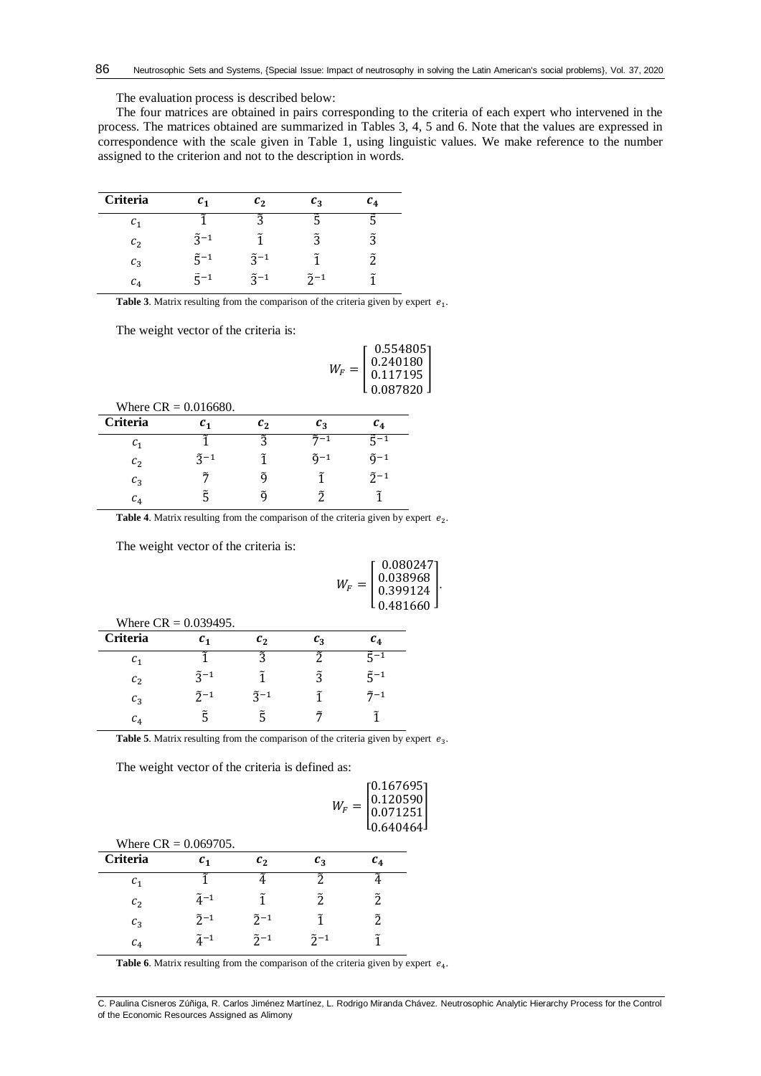The evaluation process is described below:

The four matrices are obtained in pairs corresponding to the criteria of each expert who intervened in the process. The matrices obtained are summarized in Tables 3, 4, 5 and 6. Note that the values are expressed in correspondence with the scale given in Table 1, using linguistic values. We make reference to the number assigned to the criterion and not to the description in words.

| Criteria        | $c_{1}$                    | $\mathfrak{c}_2$ | $c_{\rm a}$    | $\boldsymbol{c_4}$ |
|-----------------|----------------------------|------------------|----------------|--------------------|
| $\mathcal{C}_1$ |                            | ◠                |                |                    |
| c <sub>2</sub>  | $\tilde{z}$ -1             |                  | ñ              | ñ                  |
| $c_3$           | $\tilde{\varsigma}$ -1     | $\tilde{3}^{-1}$ |                |                    |
| $c_4$           | $\widetilde{\varsigma}$ -1 | $\tilde{z}$ -1   | $\tilde{2}$ -1 |                    |

**Table 3**. Matrix resulting from the comparison of the criteria given by expert  $e_1$ .

The weight vector of the criteria is:

|                | Where $CR = 0.016680$ . |         | $W_F =$          | 0.554805<br>$\begin{array}{c} 0.240180 \\ 0.117195 \end{array}$<br>0.087820 |  |
|----------------|-------------------------|---------|------------------|-----------------------------------------------------------------------------|--|
| Criteria       | c <sub>1</sub>          | $c_{2}$ | $c_3$            | $c_4$                                                                       |  |
| c <sub>1</sub> |                         | วิ      | $\tilde{7}^{-1}$ | $\tilde{5}^{-1}$                                                            |  |
| c <sub>2</sub> | $\tilde{z}^{-1}$        | ĩ       | $\tilde{q}-1$    | $\tilde{q}$ –1                                                              |  |
| $c_3$          | ñ                       | õ       | ĩ                | $\tilde{2}^{-1}$                                                            |  |
| c <sub>4</sub> | ξ                       | ã       | ñ                |                                                                             |  |
|                |                         |         |                  |                                                                             |  |

**Table 4**. Matrix resulting from the comparison of the criteria given by expert  $e_2$ .

The weight vector of the criteria is:

0.167695

]

| Where $CR = 0.039495$ . |                  |                  |             |                        |  |  |
|-------------------------|------------------|------------------|-------------|------------------------|--|--|
| <b>Criteria</b>         | $c_{1}$          | $\mathfrak{c}_2$ | $c_{\rm a}$ | $c_4$                  |  |  |
| $c_{1}$                 |                  | ã                | ñ           | ξ−1                    |  |  |
| c <sub>2</sub>          | $\tilde{z}^{-1}$ |                  | Ĩ.          | $\tilde{\varsigma}$ -1 |  |  |
| $c_3$                   | $\tilde{2}^{-1}$ | $\tilde{z}^{-1}$ |             | $\tilde{7} - 1$        |  |  |
| $c_4$                   |                  |                  |             |                        |  |  |

**Table 5**. Matrix resulting from the comparison of the criteria given by expert  $e_3$ .

The weight vector of the criteria is defined as:

|                                     |                  |                  | $W_F =$          | $\left  \begin{smallmatrix} 0.120590 \ 0.071251 \end{smallmatrix} \right $ |
|-------------------------------------|------------------|------------------|------------------|----------------------------------------------------------------------------|
|                                     |                  |                  |                  | l0.640464J                                                                 |
| Where $CR = 0.069705$ .<br>Criteria | c <sub>1</sub>   | $c_{2}$          | $c_3$            | $c_4$                                                                      |
| $c_{1}$                             |                  |                  | う                |                                                                            |
| c <sub>2</sub>                      | $\tilde{4}^{-1}$ | ĩ                | $\tilde{2}$      | Ĩ.                                                                         |
| $c_3$                               | $\tilde{2}^{-1}$ | $\tilde{2}^{-1}$ | ĩ                | Ž.                                                                         |
| c <sub>4</sub>                      | $\tilde{a}^{-1}$ | $\tilde{2}$ -1   | $\tilde{2}^{-1}$ | ĩ                                                                          |

**Table 6**. Matrix resulting from the comparison of the criteria given by expert  $e_4$ .

C. Paulina Cisneros Zúñiga, R. Carlos Jiménez Martínez, L. Rodrigo Miranda Chávez. Neutrosophic Analytic Hierarchy Process for the Control of the Economic Resources Assigned as Alimony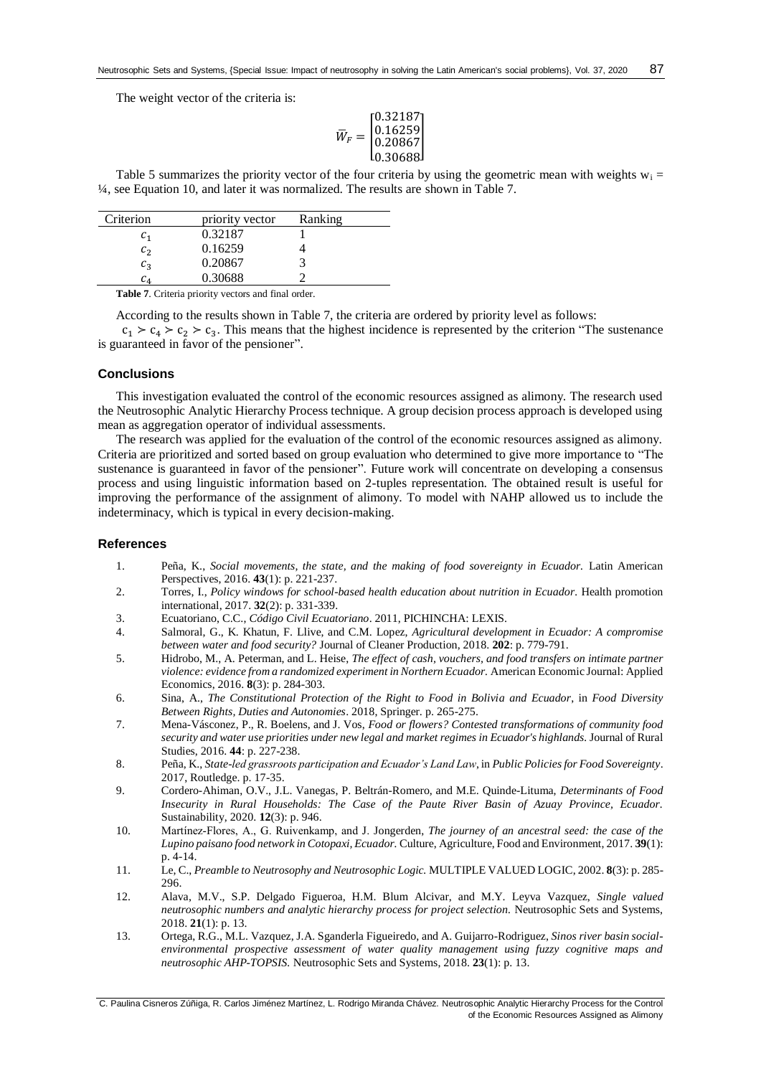The weight vector of the criteria is:

$$
\overline{W}_F = \begin{bmatrix} 0.32187 \\ 0.16259 \\ 0.20867 \\ 0.30688 \end{bmatrix}
$$

Table 5 summarizes the priority vector of the four criteria by using the geometric mean with weights  $w_i =$ ¼, see Equation 10, and later it was normalized. The results are shown in Table 7.

| Criterion                           | priority vector | Ranking |
|-------------------------------------|-----------------|---------|
| $c_{1}$                             | 0.32187         |         |
| c <sub>2</sub>                      | 0.16259         |         |
| $c_3$                               | 0.20867         |         |
| $\mathcal{C}_{\textit{\textbf{A}}}$ | 0.30688         |         |

**Table 7**. Criteria priority vectors and final order.

According to the results shown in Table 7, the criteria are ordered by priority level as follows:

 $c_1 > c_4 > c_2 > c_3$ . This means that the highest incidence is represented by the criterion "The sustenance" is guaranteed in favor of the pensioner".

## **Conclusions**

This investigation evaluated the control of the economic resources assigned as alimony. The research used the Neutrosophic Analytic Hierarchy Process technique. A group decision process approach is developed using mean as aggregation operator of individual assessments.

The research was applied for the evaluation of the control of the economic resources assigned as alimony. Criteria are prioritized and sorted based on group evaluation who determined to give more importance to "The sustenance is guaranteed in favor of the pensioner". Future work will concentrate on developing a consensus process and using linguistic information based on 2-tuples representation. The obtained result is useful for improving the performance of the assignment of alimony. To model with NAHP allowed us to include the indeterminacy, which is typical in every decision-making.

#### **References**

- <span id="page-6-0"></span>1. Peña, K., *Social movements, the state, and the making of food sovereignty in Ecuador.* Latin American Perspectives, 2016. **43**(1): p. 221-237.
- <span id="page-6-1"></span>2. Torres, I., *Policy windows for school-based health education about nutrition in Ecuador.* Health promotion international, 2017. **32**(2): p. 331-339.
- <span id="page-6-2"></span>3. Ecuatoriano, C.C., *Código Civil Ecuatoriano*. 2011, PICHINCHA: LEXIS.
- <span id="page-6-3"></span>4. Salmoral, G., K. Khatun, F. Llive, and C.M. Lopez, *Agricultural development in Ecuador: A compromise between water and food security?* Journal of Cleaner Production, 2018. **202**: p. 779-791.
- <span id="page-6-4"></span>5. Hidrobo, M., A. Peterman, and L. Heise, *The effect of cash, vouchers, and food transfers on intimate partner violence: evidence from a randomized experiment in Northern Ecuador.* American Economic Journal: Applied Economics, 2016. **8**(3): p. 284-303.
- <span id="page-6-5"></span>6. Sina, A., *The Constitutional Protection of the Right to Food in Bolivia and Ecuador*, in *Food Diversity Between Rights, Duties and Autonomies*. 2018, Springer. p. 265-275.
- <span id="page-6-6"></span>7. Mena-Vásconez, P., R. Boelens, and J. Vos, *Food or flowers? Contested transformations of community food security and water use priorities under new legal and market regimes in Ecuador's highlands.* Journal of Rural Studies, 2016. **44**: p. 227-238.
- <span id="page-6-7"></span>8. Peña, K., *State-led grassroots participation and Ecuador's Land Law*, in *Public Policies for Food Sovereignty*. 2017, Routledge. p. 17-35.
- <span id="page-6-8"></span>9. Cordero-Ahiman, O.V., J.L. Vanegas, P. Beltrán-Romero, and M.E. Quinde-Lituma, *Determinants of Food Insecurity in Rural Households: The Case of the Paute River Basin of Azuay Province, Ecuador.* Sustainability, 2020. **12**(3): p. 946.
- <span id="page-6-9"></span>10. Martínez‐Flores, A., G. Ruivenkamp, and J. Jongerden, *The journey of an ancestral seed: the case of the Lupino paisano food network in Cotopaxi, Ecuador.* Culture, Agriculture, Food and Environment, 2017. **39**(1): p. 4-14.
- <span id="page-6-10"></span>11. Le, C., *Preamble to Neutrosophy and Neutrosophic Logic.* MULTIPLE VALUED LOGIC, 2002. **8**(3): p. 285- 296.
- <span id="page-6-11"></span>12. Alava, M.V., S.P. Delgado Figueroa, H.M. Blum Alcivar, and M.Y. Leyva Vazquez, *Single valued neutrosophic numbers and analytic hierarchy process for project selection.* Neutrosophic Sets and Systems, 2018. **21**(1): p. 13.
- <span id="page-6-12"></span>13. Ortega, R.G., M.L. Vazquez, J.A. Sganderla Figueiredo, and A. Guijarro-Rodriguez, *Sinos river basin socialenvironmental prospective assessment of water quality management using fuzzy cognitive maps and neutrosophic AHP-TOPSIS.* Neutrosophic Sets and Systems, 2018. **23**(1): p. 13.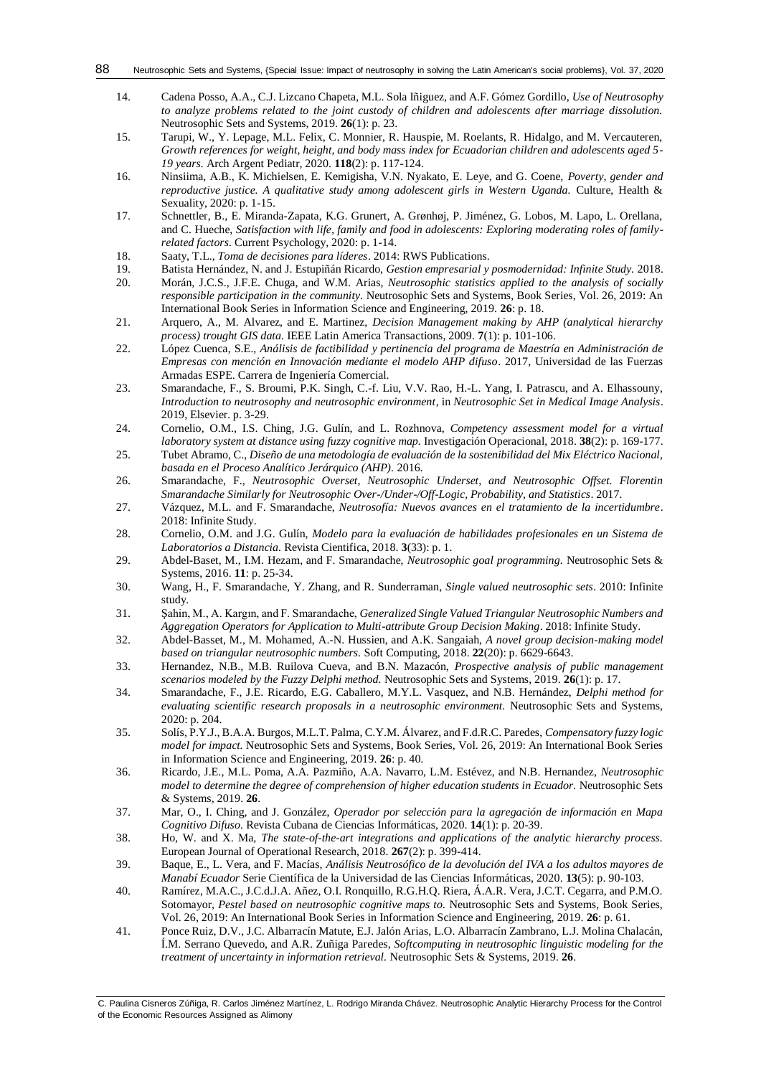- <span id="page-7-0"></span>14. Cadena Posso, A.A., C.J. Lizcano Chapeta, M.L. Sola Iñiguez, and A.F. Gómez Gordillo, *Use of Neutrosophy to analyze problems related to the joint custody of children and adolescents after marriage dissolution.* Neutrosophic Sets and Systems, 2019. **26**(1): p. 23.
- <span id="page-7-1"></span>15. Tarupi, W., Y. Lepage, M.L. Felix, C. Monnier, R. Hauspie, M. Roelants, R. Hidalgo, and M. Vercauteren, *Growth references for weight, height, and body mass index for Ecuadorian children and adolescents aged 5- 19 years.* Arch Argent Pediatr, 2020. **118**(2): p. 117-124.
- <span id="page-7-2"></span>16. Ninsiima, A.B., K. Michielsen, E. Kemigisha, V.N. Nyakato, E. Leye, and G. Coene, *Poverty, gender and reproductive justice. A qualitative study among adolescent girls in Western Uganda.* Culture, Health & Sexuality, 2020: p. 1-15.
- <span id="page-7-3"></span>17. Schnettler, B., E. Miranda-Zapata, K.G. Grunert, A. Grønhøj, P. Jiménez, G. Lobos, M. Lapo, L. Orellana, and C. Hueche, *Satisfaction with life, family and food in adolescents: Exploring moderating roles of familyrelated factors.* Current Psychology, 2020: p. 1-14.
- <span id="page-7-4"></span>18. Saaty, T.L., *Toma de decisiones para líderes*. 2014: RWS Publications.
- <span id="page-7-5"></span>19. Batista Hernández, N. and J. Estupiñán Ricardo, *Gestion empresarial y posmodernidad: Infinite Study.* 2018.
- <span id="page-7-6"></span>20. Morán, J.C.S., J.F.E. Chuga, and W.M. Arias, *Neutrosophic statistics applied to the analysis of socially responsible participation in the community.* Neutrosophic Sets and Systems, Book Series, Vol. 26, 2019: An International Book Series in Information Science and Engineering, 2019. **26**: p. 18.
- <span id="page-7-7"></span>21. Arquero, A., M. Alvarez, and E. Martinez, *Decision Management making by AHP (analytical hierarchy process) trought GIS data.* IEEE Latin America Transactions, 2009. **7**(1): p. 101-106.
- <span id="page-7-8"></span>22. López Cuenca, S.E., *Análisis de factibilidad y pertinencia del programa de Maestría en Administración de Empresas con mención en Innovación mediante el modelo AHP difuso*. 2017, Universidad de las Fuerzas Armadas ESPE. Carrera de Ingeniería Comercial.
- <span id="page-7-9"></span>23. Smarandache, F., S. Broumi, P.K. Singh, C.-f. Liu, V.V. Rao, H.-L. Yang, I. Patrascu, and A. Elhassouny, *Introduction to neutrosophy and neutrosophic environment*, in *Neutrosophic Set in Medical Image Analysis*. 2019, Elsevier. p. 3-29.
- <span id="page-7-10"></span>24. Cornelio, O.M., I.S. Ching, J.G. Gulín, and L. Rozhnova, *Competency assessment model for a virtual laboratory system at distance using fuzzy cognitive map.* Investigación Operacional, 2018. **38**(2): p. 169-177.
- <span id="page-7-11"></span>25. Tubet Abramo, C., *Diseño de una metodología de evaluación de la sostenibilidad del Mix Eléctrico Nacional, basada en el Proceso Analítico Jerárquico (AHP).* 2016.
- <span id="page-7-12"></span>26. Smarandache, F., *Neutrosophic Overset, Neutrosophic Underset, and Neutrosophic Offset. Florentin Smarandache Similarly for Neutrosophic Over-/Under-/Off-Logic, Probability, and Statistics*. 2017.
- <span id="page-7-13"></span>27. Vázquez, M.L. and F. Smarandache, *Neutrosofía: Nuevos avances en el tratamiento de la incertidumbre*. 2018: Infinite Study.
- <span id="page-7-14"></span>28. Cornelio, O.M. and J.G. Gulín, *Modelo para la evaluación de habilidades profesionales en un Sistema de Laboratorios a Distancia.* Revista Cientifica, 2018. **3**(33): p. 1.
- <span id="page-7-15"></span>29. Abdel-Baset, M., I.M. Hezam, and F. Smarandache, *Neutrosophic goal programming.* Neutrosophic Sets & Systems, 2016. **11**: p. 25-34.
- <span id="page-7-16"></span>30. Wang, H., F. Smarandache, Y. Zhang, and R. Sunderraman, *Single valued neutrosophic sets*. 2010: Infinite study.
- <span id="page-7-17"></span>31. Şahin, M., A. Kargın, and F. Smarandache, *Generalized Single Valued Triangular Neutrosophic Numbers and Aggregation Operators for Application to Multi-attribute Group Decision Making*. 2018: Infinite Study.
- <span id="page-7-18"></span>32. Abdel-Basset, M., M. Mohamed, A.-N. Hussien, and A.K. Sangaiah, *A novel group decision-making model based on triangular neutrosophic numbers.* Soft Computing, 2018. **22**(20): p. 6629-6643.
- <span id="page-7-19"></span>33. Hernandez, N.B., M.B. Ruilova Cueva, and B.N. Mazacón, *Prospective analysis of public management scenarios modeled by the Fuzzy Delphi method.* Neutrosophic Sets and Systems, 2019. **26**(1): p. 17.
- <span id="page-7-20"></span>34. Smarandache, F., J.E. Ricardo, E.G. Caballero, M.Y.L. Vasquez, and N.B. Hernández, *Delphi method for evaluating scientific research proposals in a neutrosophic environment.* Neutrosophic Sets and Systems, 2020: p. 204.
- 35. Solís, P.Y.J., B.A.A. Burgos, M.L.T. Palma, C.Y.M. Álvarez, and F.d.R.C. Paredes, *Compensatory fuzzy logic model for impact.* Neutrosophic Sets and Systems, Book Series, Vol. 26, 2019: An International Book Series in Information Science and Engineering, 2019. **26**: p. 40.
- <span id="page-7-25"></span>36. Ricardo, J.E., M.L. Poma, A.A. Pazmiño, A.A. Navarro, L.M. Estévez, and N.B. Hernandez, *Neutrosophic model to determine the degree of comprehension of higher education students in Ecuador.* Neutrosophic Sets & Systems, 2019. **26**.
- <span id="page-7-21"></span>37. Mar, O., I. Ching, and J. González, *Operador por selección para la agregación de información en Mapa Cognitivo Difuso.* Revista Cubana de Ciencias Informáticas, 2020. **14**(1): p. 20-39.
- <span id="page-7-22"></span>38. Ho, W. and X. Ma, *The state-of-the-art integrations and applications of the analytic hierarchy process.* European Journal of Operational Research, 2018. **267**(2): p. 399-414.
- <span id="page-7-23"></span>39. Baque, E., L. Vera, and F. Macías, *Análisis Neutrosófico de la devolución del IVA a los adultos mayores de Manabí Ecuador* Serie Científica de la Universidad de las Ciencias Informáticas, 2020. **13**(5): p. 90-103.
- <span id="page-7-24"></span>40. Ramírez, M.A.C., J.C.d.J.A. Añez, O.I. Ronquillo, R.G.H.Q. Riera, Á.A.R. Vera, J.C.T. Cegarra, and P.M.O. Sotomayor, *Pestel based on neutrosophic cognitive maps to.* Neutrosophic Sets and Systems, Book Series, Vol. 26, 2019: An International Book Series in Information Science and Engineering, 2019. **26**: p. 61.
- 41. Ponce Ruiz, D.V., J.C. Albarracín Matute, E.J. Jalón Arias, L.O. Albarracín Zambrano, L.J. Molina Chalacán, Í.M. Serrano Quevedo, and A.R. Zuñiga Paredes, *Softcomputing in neutrosophic linguistic modeling for the treatment of uncertainty in information retrieval.* Neutrosophic Sets & Systems, 2019. **26**.